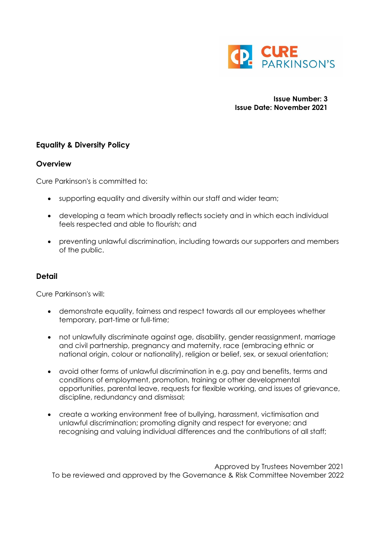

**Issue Number: 3 Issue Date: November 2021**

## **Equality & Diversity Policy**

## **Overview**

Cure Parkinson's is committed to:

- supporting equality and diversity within our staff and wider team;
- developing a team which broadly reflects society and in which each individual feels respected and able to flourish; and
- preventing unlawful discrimination, including towards our supporters and members of the public.

## **Detail**

Cure Parkinson's will:

- demonstrate equality, fairness and respect towards all our employees whether temporary, part-time or full-time;
- not unlawfully discriminate against age, disability, gender reassignment, marriage and civil partnership, pregnancy and maternity, race (embracing ethnic or national origin, colour or nationality), religion or belief, sex, or sexual orientation;
- avoid other forms of unlawful discrimination in e.g. pay and benefits, terms and conditions of employment, promotion, training or other developmental opportunities, parental leave, requests for flexible working, and issues of grievance, discipline, redundancy and dismissal;
- create a working environment free of bullying, harassment, victimisation and unlawful discrimination; promoting dignity and respect for everyone; and recognising and valuing individual differences and the contributions of all staff;

 Approved by Trustees November 2021 To be reviewed and approved by the Governance & Risk Committee November 2022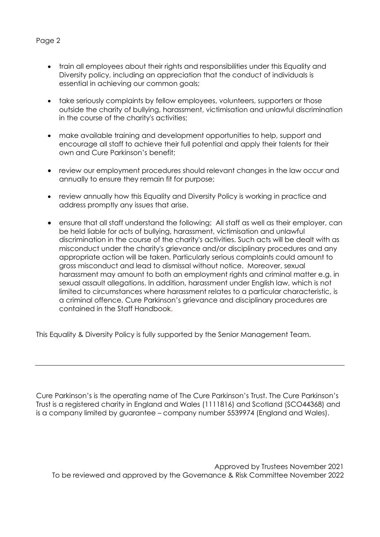## Page 2

- train all employees about their rights and responsibilities under this Equality and Diversity policy, including an appreciation that the conduct of individuals is essential in achieving our common goals;
- take seriously complaints by fellow employees, volunteers, supporters or those outside the charity of bullying, harassment, victimisation and unlawful discrimination in the course of the charity's activities;
- make available training and development opportunities to help, support and encourage all staff to achieve their full potential and apply their talents for their own and Cure Parkinson's benefit;
- review our employment procedures should relevant changes in the law occur and annually to ensure they remain fit for purpose;
- review annually how this Equality and Diversity Policy is working in practice and address promptly any issues that arise.
- ensure that all staff understand the following; All staff as well as their employer, can be held liable for acts of bullying, harassment, victimisation and unlawful discrimination in the course of the charity's activities. Such acts will be dealt with as misconduct under the charity's grievance and/or disciplinary procedures and any appropriate action will be taken. Particularly serious complaints could amount to gross misconduct and lead to dismissal without notice. Moreover, sexual harassment may amount to both an employment rights and criminal matter e.g. in sexual assault allegations. In addition, harassment under English law, which is not limited to circumstances where harassment relates to a particular characteristic, is a criminal offence. Cure Parkinson's grievance and disciplinary procedures are contained in the Staff Handbook.

This Equality & Diversity Policy is fully supported by the Senior Management Team.

Cure Parkinson's is the operating name of The Cure Parkinson's Trust. The Cure Parkinson's Trust is a registered charity in England and Wales (1111816) and Scotland (SCO44368) and is a company limited by guarantee – company number 5539974 (England and Wales).

 Approved by Trustees November 2021 To be reviewed and approved by the Governance & Risk Committee November 2022